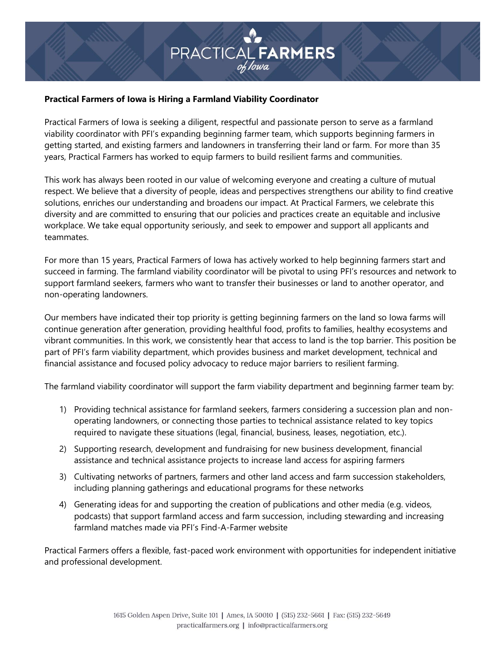# **PRACTICAL FARMERS**

# **Practical Farmers of Iowa is Hiring a Farmland Viability Coordinator**

Practical Farmers of Iowa is seeking a diligent, respectful and passionate person to serve as a farmland viability coordinator with PFI's expanding beginning farmer team, which supports beginning farmers in getting started, and existing farmers and landowners in transferring their land or farm. For more than 35 years, Practical Farmers has worked to equip farmers to build resilient farms and communities.

This work has always been rooted in our value of welcoming everyone and creating a culture of mutual respect. We believe that a diversity of people, ideas and perspectives strengthens our ability to find creative solutions, enriches our understanding and broadens our impact. At Practical Farmers, we celebrate this diversity and are committed to ensuring that our policies and practices create an equitable and inclusive workplace. We take equal opportunity seriously, and seek to empower and support all applicants and teammates.

For more than 15 years, Practical Farmers of Iowa has actively worked to help beginning farmers start and succeed in farming. The farmland viability coordinator will be pivotal to using PFI's resources and network to support farmland seekers, farmers who want to transfer their businesses or land to another operator, and non-operating landowners.

Our members have indicated their top priority is getting beginning farmers on the land so Iowa farms will continue generation after generation, providing healthful food, profits to families, healthy ecosystems and vibrant communities. In this work, we consistently hear that access to land is the top barrier. This position be part of PFI's farm viability department, which provides business and market development, technical and financial assistance and focused policy advocacy to reduce major barriers to resilient farming.

The farmland viability coordinator will support the farm viability department and beginning farmer team by:

- 1) Providing technical assistance for farmland seekers, farmers considering a succession plan and nonoperating landowners, or connecting those parties to technical assistance related to key topics required to navigate these situations (legal, financial, business, leases, negotiation, etc.).
- 2) Supporting research, development and fundraising for new business development, financial assistance and technical assistance projects to increase land access for aspiring farmers
- 3) Cultivating networks of partners, farmers and other land access and farm succession stakeholders, including planning gatherings and educational programs for these networks
- 4) Generating ideas for and supporting the creation of publications and other media (e.g. videos, podcasts) that support farmland access and farm succession, including stewarding and increasing farmland matches made via PFI's Find-A-Farmer website

Practical Farmers offers a flexible, fast-paced work environment with opportunities for independent initiative and professional development.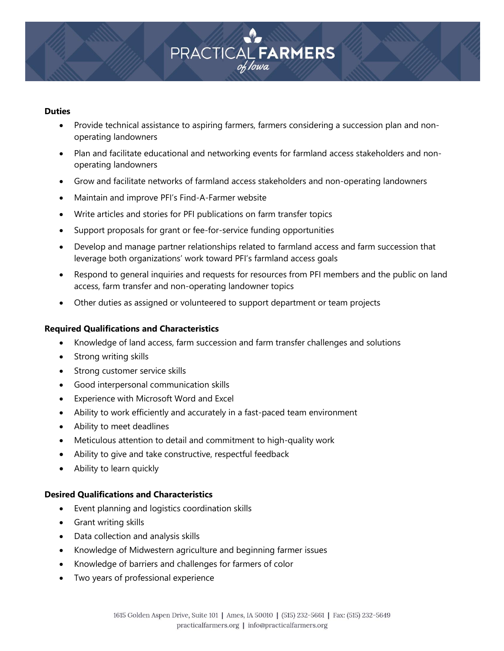

### **Duties**

- Provide technical assistance to aspiring farmers, farmers considering a succession plan and nonoperating landowners
- Plan and facilitate educational and networking events for farmland access stakeholders and nonoperating landowners
- Grow and facilitate networks of farmland access stakeholders and non-operating landowners
- Maintain and improve PFI's Find-A-Farmer website
- Write articles and stories for PFI publications on farm transfer topics
- Support proposals for grant or fee-for-service funding opportunities
- Develop and manage partner relationships related to farmland access and farm succession that leverage both organizations' work toward PFI's farmland access goals
- Respond to general inquiries and requests for resources from PFI members and the public on land access, farm transfer and non-operating landowner topics
- Other duties as assigned or volunteered to support department or team projects

### **Required Qualifications and Characteristics**

- Knowledge of land access, farm succession and farm transfer challenges and solutions
- Strong writing skills
- Strong customer service skills
- Good interpersonal communication skills
- Experience with Microsoft Word and Excel
- Ability to work efficiently and accurately in a fast-paced team environment
- Ability to meet deadlines
- Meticulous attention to detail and commitment to high-quality work
- Ability to give and take constructive, respectful feedback
- Ability to learn quickly

## **Desired Qualifications and Characteristics**

- Event planning and logistics coordination skills
- Grant writing skills
- Data collection and analysis skills
- Knowledge of Midwestern agriculture and beginning farmer issues
- Knowledge of barriers and challenges for farmers of color
- Two years of professional experience